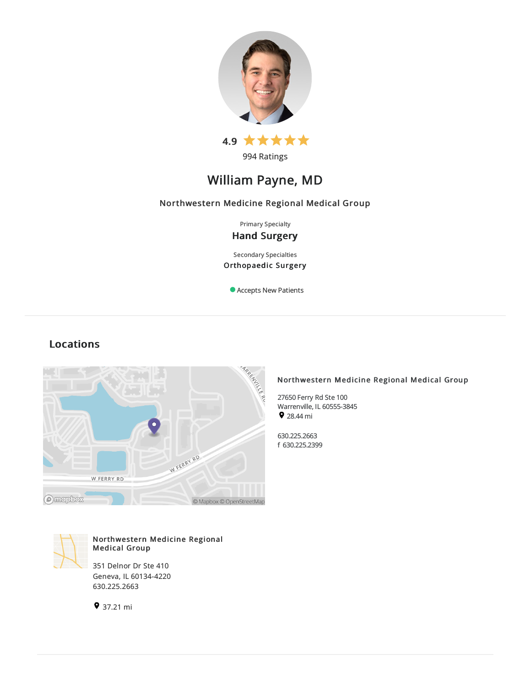

994 Ratings

# William Payne, MD

## Northwestern Medicine Regional Medical Group

Primary Specialty

## Hand Surgery

Secondary Specialties Orthopaedic Surgery

Accepts New Patients

## Locations



## Northwestern Medicine Regional Medical Group

27650 Ferry Rd Ste 100 Warrenville, IL60555-3845 9 28.44 mi

630.225.2663 f 630.225.2399



## Northwestern Medicine Regional Medical Group

351 Delnor Dr Ste 410 Geneva, IL60134-4220 630.225.2663

37.21 mi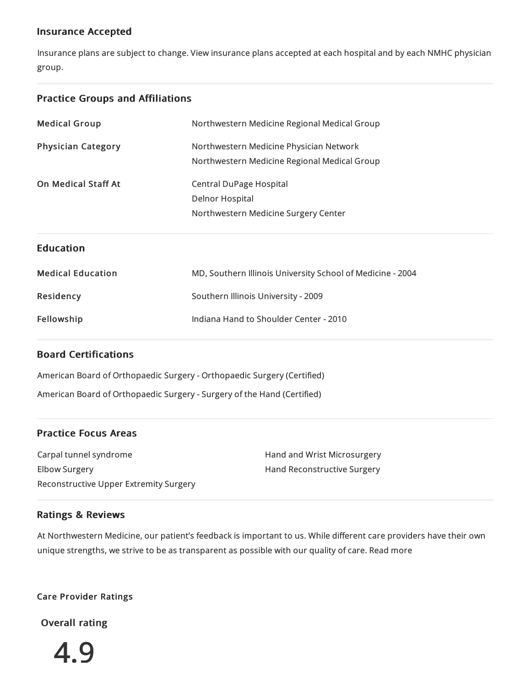## Insurance Accepted

Insurance plans are subject to change. View [insurance](https://www.nm.org/patients-and-visitors/billing-and-insurance/insurance-information/accepted-insurance-plans) plans accepted at each hospital and by each NMHC physician group.

## Practice Groups and Affiliations

| <b>Medical Group</b>      | Northwestern Medicine Regional Medical Group               |  |
|---------------------------|------------------------------------------------------------|--|
| <b>Physician Category</b> | Northwestern Medicine Physician Network                    |  |
|                           | Northwestern Medicine Regional Medical Group               |  |
| On Medical Staff At       | <b>Central DuPage Hospital</b>                             |  |
|                           | <b>Delnor Hospital</b>                                     |  |
|                           | Northwestern Medicine Surgery Center                       |  |
|                           |                                                            |  |
| <b>Education</b>          |                                                            |  |
|                           |                                                            |  |
| <b>Medical Education</b>  | MD, Southern Illinois University School of Medicine - 2004 |  |
| Residency                 | Southern Illinois University - 2009                        |  |
| Fellowship                | Indiana Hand to Shoulder Center - 2010                     |  |

## Board Certifications

American Board of Orthopaedic Surgery - Orthopaedic Surgery (Certified) American Board of Orthopaedic Surgery -Surgery of the Hand (Certified)

## Practice Focus Areas

Carpal tunnel syndrome Elbow Surgery Reconstructive Upper Extremity Surgery Hand and Wrist Microsurgery Hand Reconstructive Surgery

## Ratings & Reviews

At Northwestern Medicine, our patient's feedback is important to us. While different care providers have their own unique strengths, we strive to be as transparent as possible with our quality of care. Read more

## Care Provider Ratings

Overall rating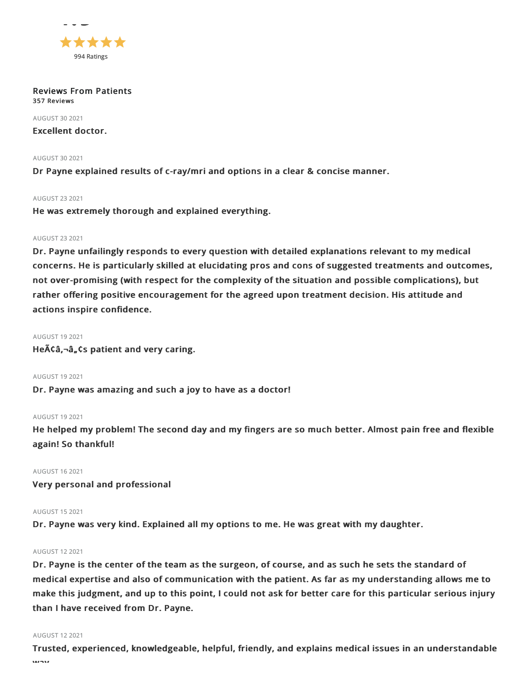

Reviews From Patients 357 Reviews

**AUGUST 30 2021** 

Excellent doctor.

#### AUGUST 302021

Dr Payne explained results of c-ray/mri and options in a clear & concise manner.

#### AUGUST 232021

He was extremely thorough and explained everything.

#### AUGUST 232021

Dr. Payne unfailingly responds to every question with detailed explanations relevant to my medical concerns. He is particularly skilled at elucidating pros and cons of suggested treatments and outcomes, not over-promising (with respect for the complexity of the situation and possible complications), but rather offering positive encouragement for the agreed upon treatment decision. His attitude and actions inspire confidence.

#### AUGUST 192021

 $He\tilde{A}\tilde{A}$ ,  $\tilde{a}$ ,  $\tilde{a}$  as patient and very caring.

## AUGUST 192021

Dr. Payne was amazing and such a joy to have as a doctor!

## AUGUST 192021

He helped my problem! The second day and my fingers are so much better. Almost pain free and flexible again! So thankful!

## AUGUST 162021

Very personal and professional

## AUGUST 152021

Dr. Payne was very kind. Explained all my options to me. He was great with my daughter.

## AUGUST 122021

Dr. Payne is the center of the team as the surgeon, of course, and as such he sets the standard of medical expertise and also of communication with the patient. As far as my understanding allows me to make this judgment, and up to this point, I could not ask for better care for this particular serious injury than I have received from Dr. Payne.

#### AUGUST 122021

Trusted, experienced, knowledgeable, helpful, friendly, and explains medical issues in an understandable  $\cdots$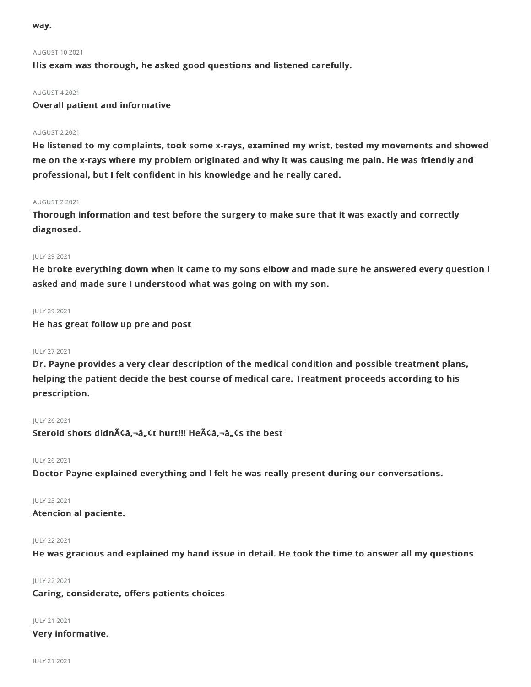way.

### AUGUST 102021

His exam was thorough, he asked good questions and listened carefully.

#### AUGUST 42021

Overall patient and informative

### AUGUST 22021

He listened to my complaints, took some x-rays, examined my wrist, tested my movements and showed me on the x-rays where my problem originated and why it was causing me pain. He was friendly and professional, but I felt confident in his knowledge and he really cared.

#### AUGUST 22021

Thorough information and test before the surgery to make sure that it was exactly and correctly diagnosed.

### JULY 29 2021

He broke everything down when it came to my sons elbow and made sure he answered every question I asked and made sure I understood what was going on with my son.

#### JULY 29 2021

He has great follow up pre and post

### JULY 272021

Dr. Payne provides a very clear description of the medical condition and possible treatment plans, helping the patient decide the best course of medical care. Treatment proceeds according to his prescription.

#### JULY 262021

Steroid shots didnââ,¬â"¢t hurt!!! Heââ,¬â"¢s the best

#### JULY 262021

Doctor Payne explained everything and I felt he was really present during our conversations.

### JULY 232021

## Atencion al paciente.

## JULY 222021

He was gracious and explained my hand issue in detail. He took the time to answer all my questions

## JULY 222021

## Caring, considerate, offers patients choices

JULY 212021

#### Very informative.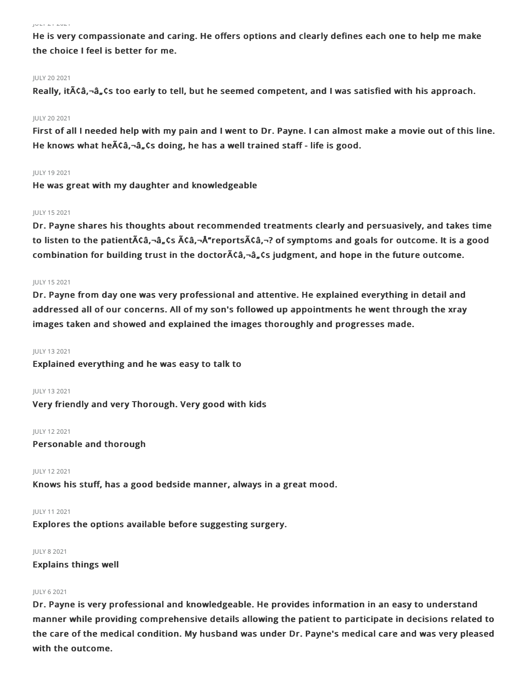#### JULY 212021

He is very compassionate and caring. He offers options and clearly defines each one to help me make the choice I feel is better for me.

#### JULY 202021

Really, it  $\tilde{A}(\tilde{A})$ ,  $\tilde{A}(\tilde{A})$ ,  $\tilde{A}(\tilde{A})$  to tell, but he seemed competent, and I was satisfied with his approach.

#### JULY 202021

First of all I needed help with my pain and I went to Dr. Payne. I can almost make a movie out of this line. He knows what he $\tilde{A}$ câ,-â,cs doing, he has a well trained staff - life is good.

#### JULY 192021

He was great with my daughter and knowledgeable

#### JULY 152021

Dr. Payne shares his thoughts about recommended treatments clearly and persuasively, and takes time to listen to the patient $\tilde{A}$  $\zeta$  $\hat{a}$ , $-\hat{a}$ , $\zeta$ s  $\tilde{A}$  $\zeta$  $\hat{a}$ , $-\tilde{A}$  $\tilde{A}$  $\tau$ eports $\tilde{A}$  $\zeta$  $\hat{a}$ , $-\gamma$  of symptoms and goals for outcome. It is a good combination for building trust in the doctor $\tilde{A}$ câ, $-\hat{a}$ , Cs judgment, and hope in the future outcome.

#### JULY 152021

Dr. Payne from day one was very professional and attentive. He explained everything in detail and addressed all of our concerns. All of my son's followed up appointments he went through the xray images taken and showed and explained the images thoroughly and progresses made.

#### JULY 132021

Explained everything and he was easy to talk to

#### JULY 132021

Very friendly and very Thorough. Very good with kids

#### JULY 122021

Personable and thorough

#### JULY 122021

Knows his stuff, has a good bedside manner, always in a great mood.

#### JULY 112021

Explores the options available before suggesting surgery.

#### JULY 82021

Explains things well

#### JULY 62021

Dr. Payne is very professional and knowledgeable. He provides information in an easy to understand manner while providing comprehensive details allowing the patient to participate in decisions related to the care of the medical condition. My husband was under Dr. Payne's medical care and was very pleased with the outcome.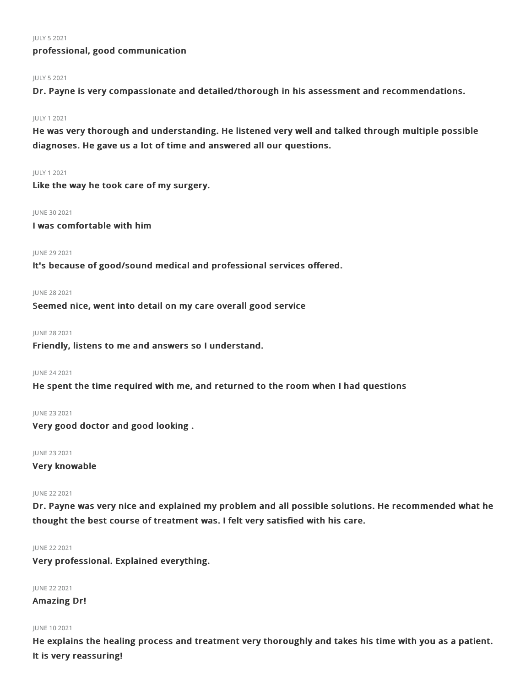JULY 52021

## professional, good communication

#### JULY 52021

Dr. Payne is very compassionate and detailed/thorough in his assessment and recommendations.

#### JULY 12021

He was very thorough and understanding. He listened very well and talked through multiple possible diagnoses. He gave us a lot of time and answered all our questions.

## JULY 12021

Like the way he took care of my surgery.

#### JUNE 302021

I was comfortable with him

#### **IUNE 29 2021**

It's because of good/sound medical and professional services offered.

#### JUNE 282021

Seemed nice, went into detail on my care overall good service

#### JUNE 28 2021

Friendly, listens to me and answers so I understand.

#### JUNE 242021

He spent the time required with me, and returned to the room when I had questions

#### JUNE 232021

Very good doctor and good looking .

## JUNE 232021

## Very knowable

#### JUNE 222021

Dr. Payne was very nice and explained my problem and all possible solutions. He recommended what he thought the best course of treatment was. I felt very satisfied with his care.

### JUNE 222021

Very professional. Explained everything.

JUNE 22 2021

## Amazing Dr!

#### JUNE 102021

He explains the healing process and treatment very thoroughly and takes his time with you as a patient. It is very reassuring!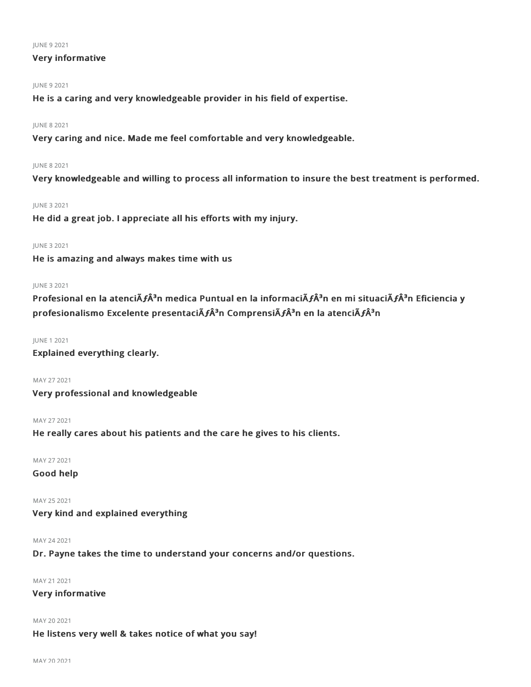#### JUNE 92021

## Very informative

## JUNE 92021

He is a caring and very knowledgeable provider in his field of expertise.

### JUNE 82021

Very caring and nice. Made me feel comfortable and very knowledgeable.

## JUNE 82021

Very knowledgeable and willing to process all information to insure the best treatment is performed.

#### JUNE 32021

He did a great job. I appreciate all his efforts with my injury.

## JUNE 32021

He is amazing and always makes time with us

### JUNE 32021

Profesional en la atenciÃ*f*Â<sup>3</sup>n medica Puntual en la informaciÃ*f*Â<sup>3</sup>n en mi situaciÃ*f*Â<sup>3</sup>n Eficiencia y profesionalismo Excelente presentaciÃ $f \hat{A}^3$ n ComprensiÃ $f \hat{A}^3$ n en la atenciÃ $f \hat{A}^3$ n

#### JUNE 12021

Explained everything clearly.

## MAY 272021

Very professional and knowledgeable

#### MAY 272021

He really cares about his patients and the care he gives to his clients.

MAY 272021

## Good help

MAY 252021 Very kind and explained everything

#### MAY 242021

## Dr. Payne takes the time to understand your concerns and/or questions.

MAY 212021

## Very informative

MAY 20 2021

## He listens very well & takes notice of what you say!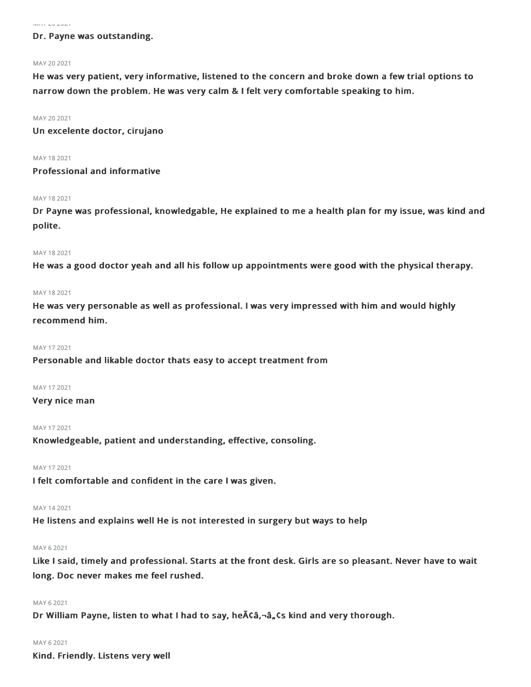## Dr. Payne was outstanding.

#### MAY 20 2021

He was very patient, very informative, listened to the concern and broke down a few trial options to narrow down the problem. He was very calm & I felt very comfortable speaking to him.

#### MAY 20 2021

Un excelente doctor, cirujano

MAY 182021

## Professional and informative

#### MAY 18 2021

Dr Payne was professional, knowledgable, He explained to me a health plan for my issue, was kind and polite.

#### MAY 182021

He was a good doctor yeah and all his follow up appointments were good with the physical therapy.

#### MAY 182021

He was very personable as well as professional. I was very impressed with him and would highly recommend him.

#### MAY 172021

Personable and likable doctor thats easy to accept treatment from

### MAY 172021

#### Very nice man

#### MAY 17 2021

Knowledgeable, patient and understanding, effective, consoling.

### MAY 172021

I felt comfortable and confident in the care I was given.

#### MAY 142021

He listens and explains well He is not interested in surgery but ways to help

#### MAY 62021

Like I said, timely and professional. Starts at the front desk. Girls are so pleasant. Never have to wait long. Doc never makes me feel rushed.

#### MAY 62021

Dr William Payne, listen to what I had to say, he Aca,-an cs kind and very thorough.

#### MAY 62021

Kind. Friendly. Listens very well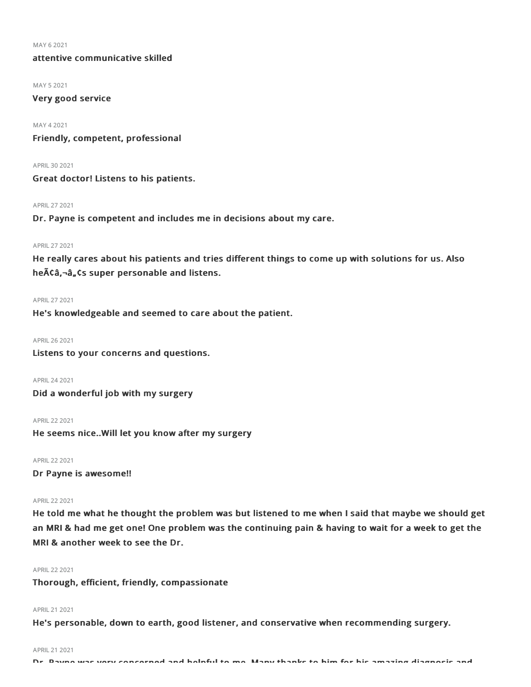MAY 62021

attentive communicative skilled

MAY 52021

Very good service

MAY 42021

Friendly, competent, professional

APRIL302021

Great doctor! Listens to his patients.

APRIL272021

Dr. Payne is competent and includes me in decisions about my care.

#### APRIL272021

He really cares about his patients and tries different things to come up with solutions for us. Also he $\tilde{A}$ Ca, $\tilde{a}$ , $\tilde{a}$ , Cs super personable and listens.

#### APRIL272021

He's knowledgeable and seemed to care about the patient.

APRIL262021

Listens to your concerns and questions.

APRIL242021 Did a wonderful job with my surgery

APRIL222021 He seems nice..Will let you know after my surgery

APRIL222021 Dr Payne is awesome!!

#### APRIL 22 2021

He told me what he thought the problem was but listened to me when I said that maybe we should get an MRI & had me get one! One problem was the continuing pain & having to wait for a week to get the MRI & another week to see the Dr.

#### APRIL222021

Thorough, efficient, friendly, compassionate

### APRIL212021

He's personable, down to earth, good listener, and conservative when recommending surgery.

APRIL212021